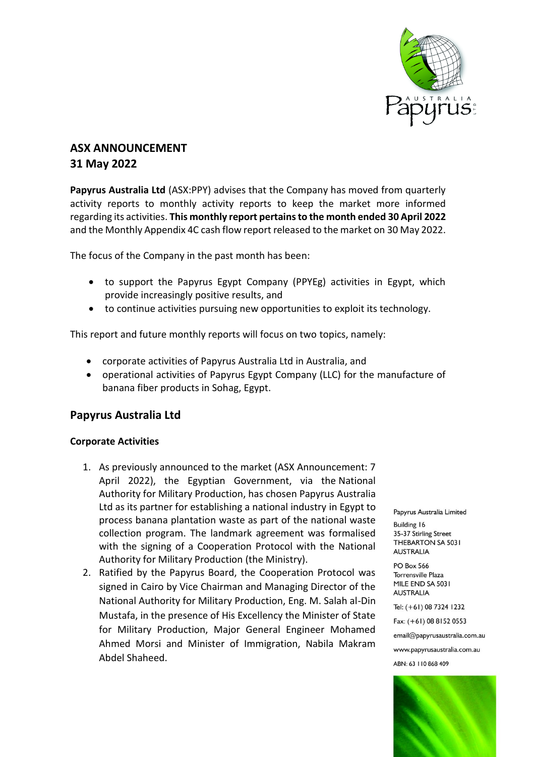

# **ASX ANNOUNCEMENT 31 May 2022**

**Papyrus Australia Ltd** (ASX:PPY) advises that the Company has moved from quarterly activity reports to monthly activity reports to keep the market more informed regarding its activities. **This monthly report pertains to the month ended 30 April 2022** and the Monthly Appendix 4C cash flow report released to the market on 30 May 2022.

The focus of the Company in the past month has been:

- to support the Papyrus Egypt Company (PPYEg) activities in Egypt, which provide increasingly positive results, and
- to continue activities pursuing new opportunities to exploit its technology.

This report and future monthly reports will focus on two topics, namely:

- corporate activities of Papyrus Australia Ltd in Australia, and
- operational activities of Papyrus Egypt Company (LLC) for the manufacture of banana fiber products in Sohag, Egypt.

### **Papyrus Australia Ltd**

#### **Corporate Activities**

- 1. As previously announced to the market (ASX Announcement: 7 April 2022), the Egyptian Government, via the National Authority for Military Production, has chosen Papyrus Australia Ltd as its partner for establishing a national industry in Egypt to process banana plantation waste as part of the national waste collection program. The landmark agreement was formalised with the signing of a Cooperation Protocol with the National Authority for Military Production (the Ministry).
- 2. Ratified by the Papyrus Board, the Cooperation Protocol was signed in Cairo by Vice Chairman and Managing Director of the National Authority for Military Production, Eng. M. Salah al-Din Mustafa, in the presence of His Excellency the Minister of State for Military Production, Major General Engineer Mohamed Ahmed Morsi and Minister of Immigration, Nabila Makram Abdel Shaheed.

Papyrus Australia Limited

**Building 16** 35-37 Stirling Street THEBARTON SA 5031 **AUSTRALIA** 

**PO Box 566** Torrensville Plaza MILE END SA 5031 **AUSTRALIA** 

Tel: (+61) 08 7324 1232

Fax: (+61) 08 8152 0553

email@papyrusaustralia.com.au

www.papyrusaustralia.com.au

ABN: 63 | 10 868 409

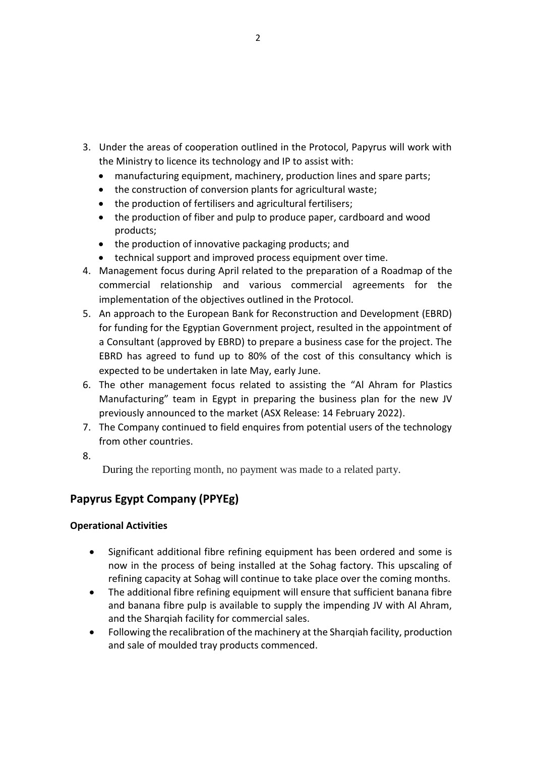- 3. Under the areas of cooperation outlined in the Protocol, Papyrus will work with the Ministry to licence its technology and IP to assist with:
	- manufacturing equipment, machinery, production lines and spare parts;
	- the construction of conversion plants for agricultural waste;
	- the production of fertilisers and agricultural fertilisers;
	- the production of fiber and pulp to produce paper, cardboard and wood products;
	- the production of innovative packaging products; and
	- technical support and improved process equipment over time.
- 4. Management focus during April related to the preparation of a Roadmap of the commercial relationship and various commercial agreements for the implementation of the objectives outlined in the Protocol.
- 5. An approach to the European Bank for Reconstruction and Development (EBRD) for funding for the Egyptian Government project, resulted in the appointment of a Consultant (approved by EBRD) to prepare a business case for the project. The EBRD has agreed to fund up to 80% of the cost of this consultancy which is expected to be undertaken in late May, early June.
- 6. The other management focus related to assisting the "Al Ahram for Plastics Manufacturing" team in Egypt in preparing the business plan for the new JV previously announced to the market (ASX Release: 14 February 2022).
- 7. The Company continued to field enquires from potential users of the technology from other countries.
- 8.

During the reporting month, no payment was made to a related party.

## **Papyrus Egypt Company (PPYEg)**

### **Operational Activities**

- Significant additional fibre refining equipment has been ordered and some is now in the process of being installed at the Sohag factory. This upscaling of refining capacity at Sohag will continue to take place over the coming months.
- The additional fibre refining equipment will ensure that sufficient banana fibre and banana fibre pulp is available to supply the impending JV with Al Ahram, and the Sharqiah facility for commercial sales.
- Following the recalibration of the machinery at the Sharqiah facility, production and sale of moulded tray products commenced.